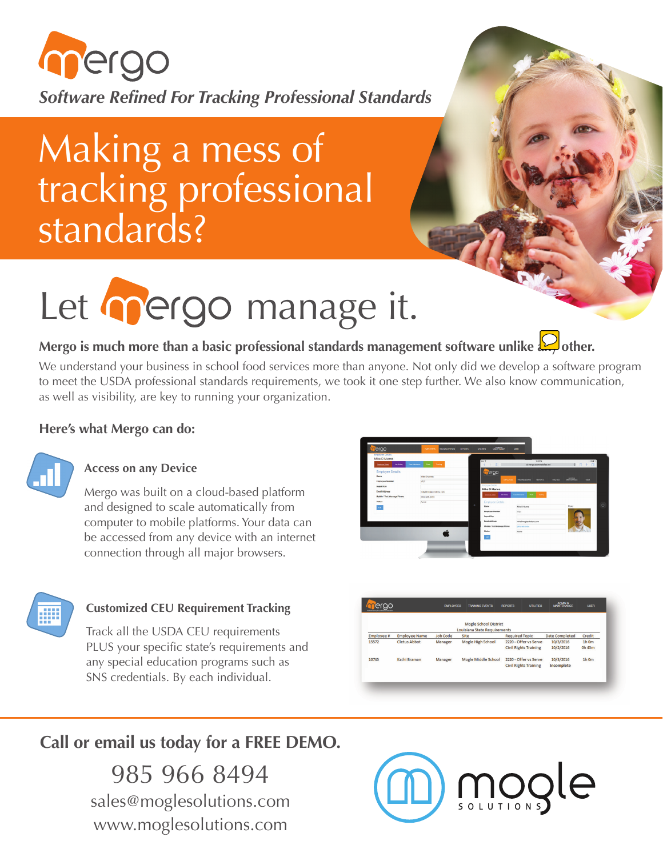

Making a mess of tracking professional standards?

# Let mergo manage it.

## Mergo is much more than a basic professional standards management software unlike  $\bigotimes$  other.

We understand your business in school food services more than anyone. Not only did we develop a software program to meet the USDA professional standards requirements, we took it one step further. We also know communication, as well as visibility, are key to running your organization.

#### **Here's what Mergo can do:**



#### **Access on any Device**

Mergo was built on a cloud-based platform and designed to scale automatically from computer to mobile platforms. Your data can be accessed from any device with an internet connection through all major browsers.





#### **Customized CEU Requirement Tracking**

Track all the USDA CEU requirements PLUS your specific state's requirements and any special education programs such as SNS credentials. By each individual.



**Call or email us today for a FREE DEMO.**

985 966 8494 sales@moglesolutions.com www.moglesolutions.com